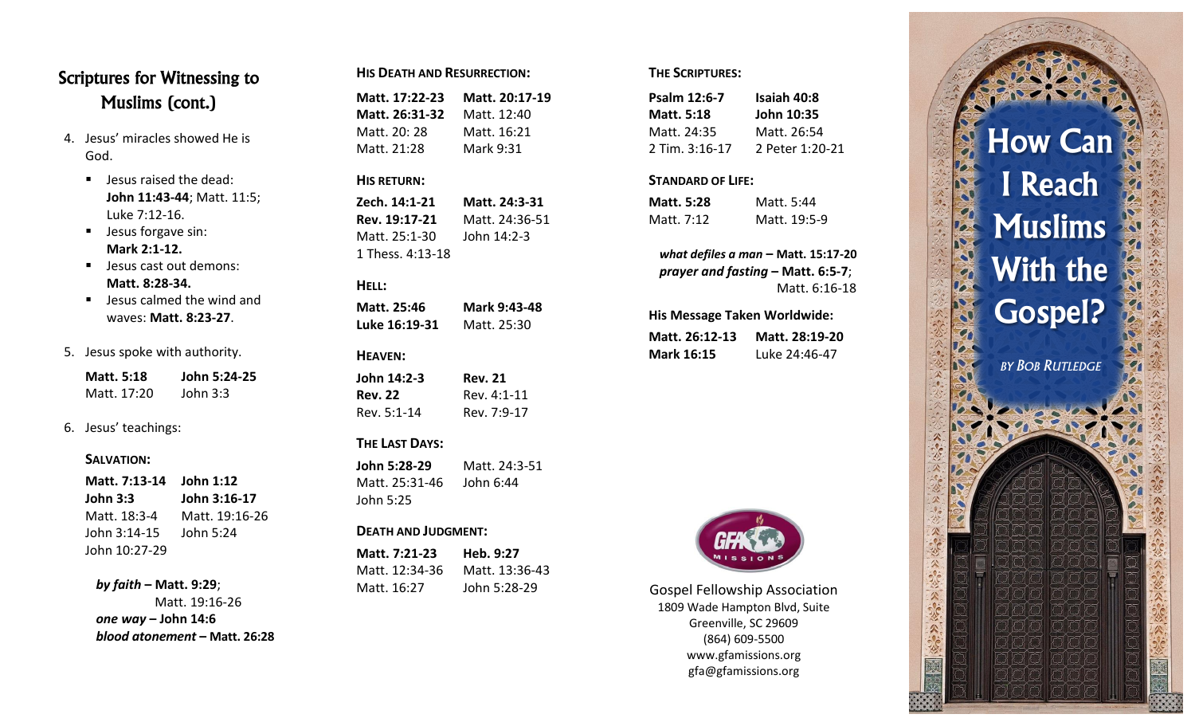## **Scriptures for Witnessing to Muslims (cont.)**

- 4. Jesus' miracles showed He is God.
	- **Jesus raised the dead: John 11:43 -44**; Matt. 11:5; Luke 7:12 -16.
	- **Jesus forgave sin: Mark 2:1 -12.**
	- **Jesus cast out demons: Matt. 8:28 -34.**
	- **Jesus calmed the wind and** waves: **Matt. 8:23 -27** .
- 5. Jesus spoke with authority.

| Matt. 5:18  | John 5:24-25 |
|-------------|--------------|
| Matt. 17:20 | John $3:3$   |

6. Jesus' teachings:

#### **SALVATION:**

| Matt. 7:13-14 John 1:12 |                |
|-------------------------|----------------|
| John 3:3                | John 3:16-17   |
| Matt. 18:3-4            | Matt. 19:16-26 |
| John 3:14-15            | John 5:24      |
| John 10:27-29           |                |

### *by faith* **– Matt. 9:29**;

Matt. 19:16 -26 *one way* **– John 14:6** *blood atonement* **– Matt. 26:28**

| <b>HIS DEATH AND RESURRECTION:</b> |
|------------------------------------|
|                                    |

| Matt. 17:22-23 | Matt. 20:17-19 |
|----------------|----------------|
| Matt. 26:31-32 | Matt. 12:40    |
| Matt. 20: 28   | Matt. 16:21    |
| Matt. 21:28    | Mark 9:31      |

#### **HIS RETURN:**

**Zech. 14:1 -21 Matt. 24:3 -31 Rev. 19:17 -21** Matt. 24:36 -51 Matt. 25:1-30 -30 John 14:2 - 3 1 Thess. 4:13 -18

### **HELL :**

| Matt. 25:46   | Mark 9:43-48 |
|---------------|--------------|
| Luke 16:19-31 | Matt. 25:30  |

#### **HEAVEN :**

| John 14:2-3    | <b>Rev. 21</b> |
|----------------|----------------|
| <b>Rev. 22</b> | Rev. 4:1-11    |
| Rev. 5:1-14    | Rev. 7:9-17    |

### **THE LAST DAYS :**

**John 5:28 -29** Matt. 24:3 -51 Matt. 25:31-46 John 6:44 John 5:25

#### **DEATH AND JUDGMENT :**

| Matt. 7:21-23  | Heb. 9:27      |
|----------------|----------------|
| Matt. 12:34-36 | Matt. 13:36-43 |
| Matt. 16:27    | John 5:28-29   |

### **THE SCRIPTURES :**

| <b>Isaiah 40:8</b> |
|--------------------|
| John 10:35         |
| Matt. 26:54        |
| 2 Peter 1:20-21    |
|                    |

#### **STANDARD OF LIFE :**

| Matt. 5:28 | Matt. 5:44   |
|------------|--------------|
| Matt. 7:12 | Matt. 19:5-9 |

*what defiles a man* **– Matt. 15:17 -20** *prayer and fasting* **– Matt. 6:5 - 7**; Matt. 6:16 -18

#### **His Message Taken Worldwide:**

| Matt. 26:12-13    | Matt. 28:19-20 |
|-------------------|----------------|
| <b>Mark 16:15</b> | Luke 24:46-47  |



Gospel Fellowship Association 1809 Wade Hampton Blvd, Suite Greenville, SC 29609 (864) 609 -5500 www.gfamissions.org gfa@gfamissions.org